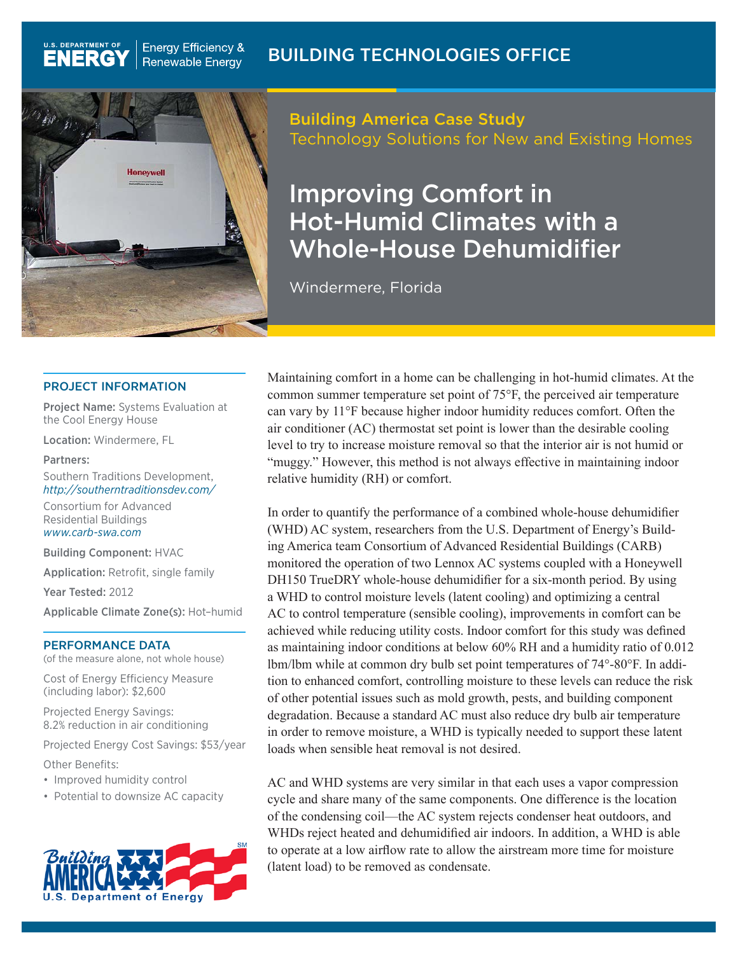

**Energy Efficiency &** 

**Renewable Energy** 

# Building America Case Study Technology Solutions for New and Existing Homes

# Improving Comfort in Hot-Humid Climates with a Whole-House Dehumidifier

Windermere, Florida

#### PROJECT INFORMATION

Project Name: Systems Evaluation at the Cool Energy House

Location: Windermere, FL

#### Partners:

**U.S. DEPARTMENT OF** 

**ENERG** 

Southern Traditions Development, *http://southerntraditionsdev.com/*

Consortium for Advanced Residential Buildings *www.carb-swa.com*

Building Component: HVAC

Application: Retrofit, single family

Year Tested: 2012

Applicable Climate Zone(s): Hot–humid

#### PERFORMANCE DATA

(of the measure alone, not whole house)

Cost of Energy Efficiency Measure (including labor): \$2,600

Projected Energy Savings: 8.2% reduction in air conditioning

Projected Energy Cost Savings: \$53/year

Other Benefits:

- Improved humidity control
- Potential to downsize AC capacity



Maintaining comfort in a home can be challenging in hot-humid climates. At the common summer temperature set point of 75°F, the perceived air temperature can vary by 11°F because higher indoor humidity reduces comfort. Often the air conditioner (AC) thermostat set point is lower than the desirable cooling level to try to increase moisture removal so that the interior air is not humid or "muggy." However, this method is not always effective in maintaining indoor relative humidity (RH) or comfort.

In order to quantify the performance of a combined whole-house dehumidifier (WHD) AC system, researchers from the U.S. Department of Energy's Building America team Consortium of Advanced Residential Buildings (CARB) monitored the operation of two Lennox AC systems coupled with a Honeywell DH150 TrueDRY whole-house dehumidifier for a six-month period. By using a WHD to control moisture levels (latent cooling) and optimizing a central AC to control temperature (sensible cooling), improvements in comfort can be achieved while reducing utility costs. Indoor comfort for this study was defined as maintaining indoor conditions at below 60% RH and a humidity ratio of 0.012 lbm/lbm while at common dry bulb set point temperatures of 74°-80°F. In addition to enhanced comfort, controlling moisture to these levels can reduce the risk of other potential issues such as mold growth, pests, and building component degradation. Because a standard AC must also reduce dry bulb air temperature in order to remove moisture, a WHD is typically needed to support these latent loads when sensible heat removal is not desired.

AC and WHD systems are very similar in that each uses a vapor compression cycle and share many of the same components. One difference is the location of the condensing coil—the AC system rejects condenser heat outdoors, and WHDs reject heated and dehumidified air indoors. In addition, a WHD is able to operate at a low airflow rate to allow the airstream more time for moisture (latent load) to be removed as condensate.